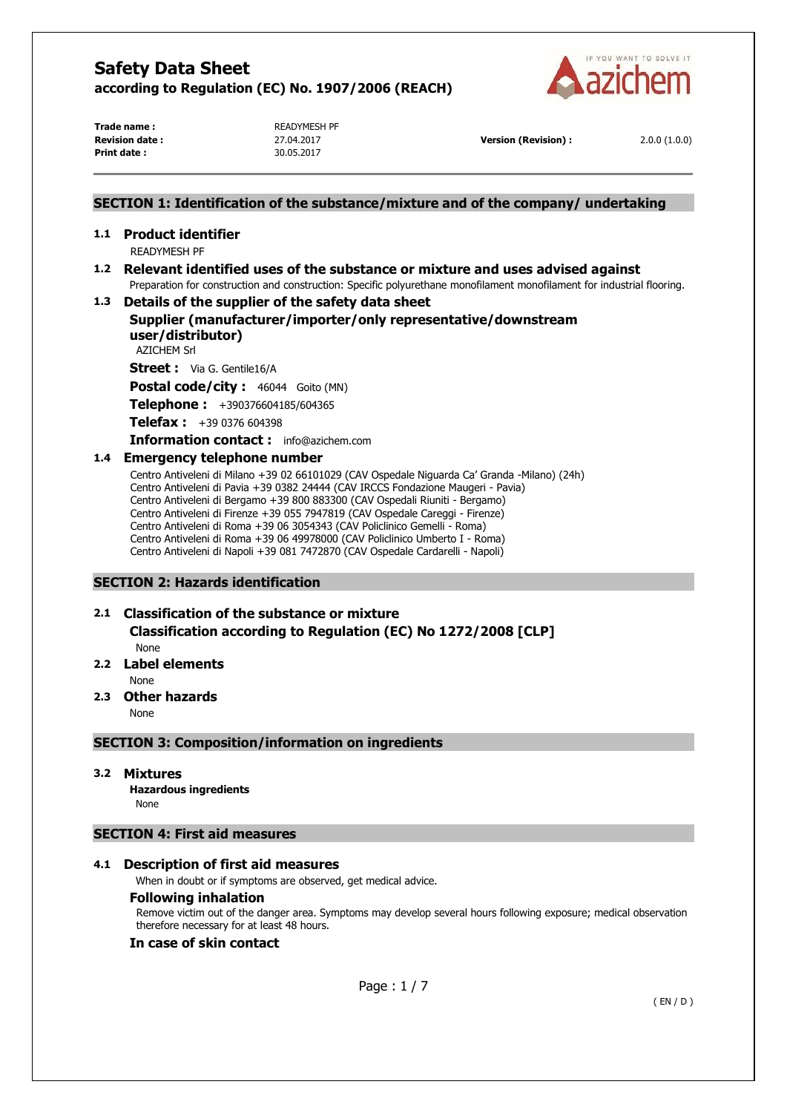

**Trade name : READYMESH PF Print date :** 30.05.2017

**Revision date :** 27.04.2017 **Version (Revision) :** 2.0.0 (1.0.0)

## **SECTION 1: Identification of the substance/mixture and of the company/ undertaking**

# **1.1 Product identifier**

READYMESH PF

# **1.2 Relevant identified uses of the substance or mixture and uses advised against**  Preparation for construction and construction: Specific polyurethane monofilament monofilament for industrial flooring.

# **1.3 Details of the supplier of the safety data sheet**

# **Supplier (manufacturer/importer/only representative/downstream user/distributor)**

AZICHEM Srl

**Street :** Via G. Gentile16/A

Postal code/city : 46044 Goito (MN)

**Telephone :** +390376604185/604365

**Telefax :** +39 0376 604398

#### **Information contact :** info@azichem.com

# **1.4 Emergency telephone number**

Centro Antiveleni di Milano +39 02 66101029 (CAV Ospedale Niguarda Ca' Granda -Milano) (24h) Centro Antiveleni di Pavia +39 0382 24444 (CAV IRCCS Fondazione Maugeri - Pavia) Centro Antiveleni di Bergamo +39 800 883300 (CAV Ospedali Riuniti - Bergamo) Centro Antiveleni di Firenze +39 055 7947819 (CAV Ospedale Careggi - Firenze) Centro Antiveleni di Roma +39 06 3054343 (CAV Policlinico Gemelli - Roma) Centro Antiveleni di Roma +39 06 49978000 (CAV Policlinico Umberto I - Roma) Centro Antiveleni di Napoli +39 081 7472870 (CAV Ospedale Cardarelli - Napoli)

# **SECTION 2: Hazards identification**

# **2.1 Classification of the substance or mixture**

**Classification according to Regulation (EC) No 1272/2008 [CLP]** 

None

# **2.2 Label elements**

None

## **2.3 Other hazards**

None

## **SECTION 3: Composition/information on ingredients**

## **3.2 Mixtures**

**Hazardous ingredients** None

# **SECTION 4: First aid measures**

# **4.1 Description of first aid measures**

When in doubt or if symptoms are observed, get medical advice.

# **Following inhalation**

Remove victim out of the danger area. Symptoms may develop several hours following exposure; medical observation therefore necessary for at least 48 hours.

# **In case of skin contact**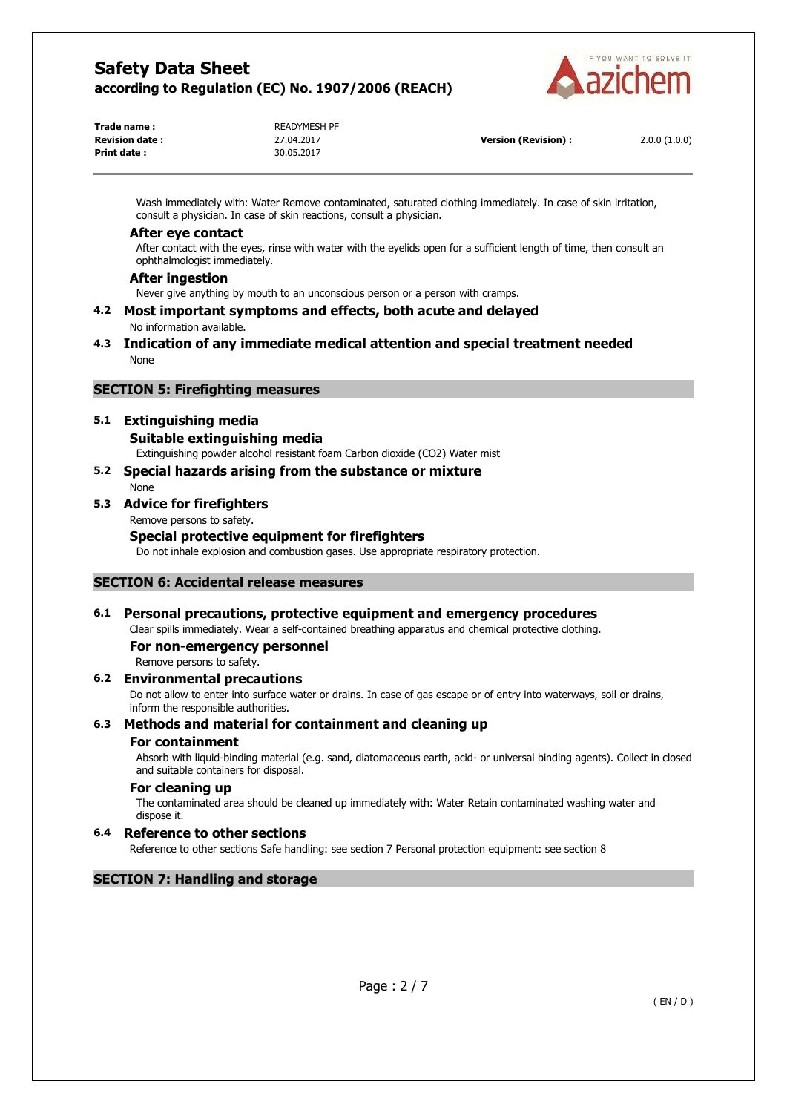

| Trade name :           | <b>READYMESH PF</b> |
|------------------------|---------------------|
| <b>Revision date :</b> | 27.04.2017          |
| Print date :           | 30.05.2017          |
|                        |                     |

**Version (Revision) :** 2.0.0 (1.0.0)

Wash immediately with: Water Remove contaminated, saturated clothing immediately. In case of skin irritation, consult a physician. In case of skin reactions, consult a physician.

#### **After eye contact**

After contact with the eyes, rinse with water with the eyelids open for a sufficient length of time, then consult an ophthalmologist immediately.

#### **After ingestion**

Never give anything by mouth to an unconscious person or a person with cramps.

**4.2 Most important symptoms and effects, both acute and delayed**  No information available.

### **4.3 Indication of any immediate medical attention and special treatment needed**  None

# **SECTION 5: Firefighting measures**

# **5.1 Extinguishing media**

#### **Suitable extinguishing media**

Extinguishing powder alcohol resistant foam Carbon dioxide (CO2) Water mist

#### **5.2 Special hazards arising from the substance or mixture**  None

# **5.3 Advice for firefighters**

Remove persons to safety.

# **Special protective equipment for firefighters**

Do not inhale explosion and combustion gases. Use appropriate respiratory protection.

## **SECTION 6: Accidental release measures**

# **6.1 Personal precautions, protective equipment and emergency procedures**

Clear spills immediately. Wear a self-contained breathing apparatus and chemical protective clothing.

**For non-emergency personnel** 

Remove persons to safety.

## **6.2 Environmental precautions**

Do not allow to enter into surface water or drains. In case of gas escape or of entry into waterways, soil or drains, inform the responsible authorities.

# **6.3 Methods and material for containment and cleaning up**

# **For containment**

Absorb with liquid-binding material (e.g. sand, diatomaceous earth, acid- or universal binding agents). Collect in closed and suitable containers for disposal.

# **For cleaning up**

The contaminated area should be cleaned up immediately with: Water Retain contaminated washing water and dispose it.

# **6.4 Reference to other sections**

Reference to other sections Safe handling: see section 7 Personal protection equipment: see section 8

## **SECTION 7: Handling and storage**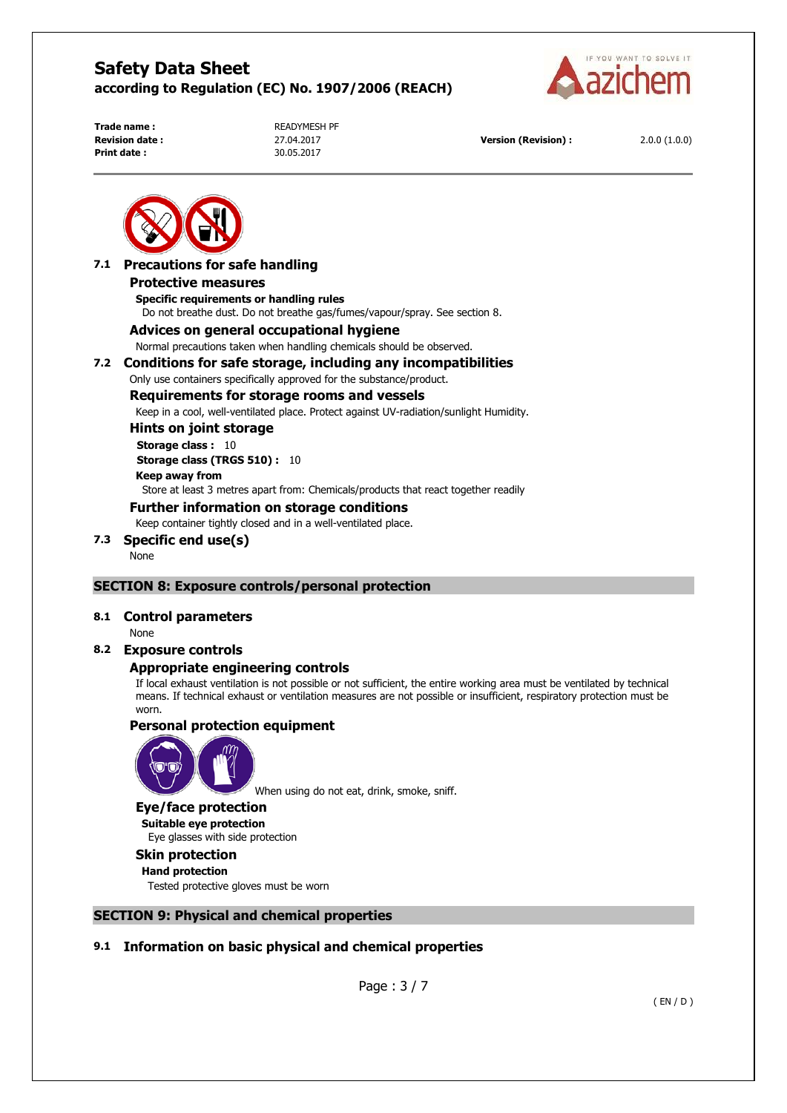

**Print date :** 30.05.2017

**Trade name : READYMESH PF** 

**Revision date :** 27.04.2017 **Version (Revision) :** 2.0.0 (1.0.0)



## **7.1 Precautions for safe handling Protective measures Specific requirements or handling rules**

Do not breathe dust. Do not breathe gas/fumes/vapour/spray. See section 8.

# **Advices on general occupational hygiene**

Normal precautions taken when handling chemicals should be observed.

## **7.2 Conditions for safe storage, including any incompatibilities**

Only use containers specifically approved for the substance/product.

# **Requirements for storage rooms and vessels**

Keep in a cool, well-ventilated place. Protect against UV-radiation/sunlight Humidity.

# **Hints on joint storage**

**Storage class :** 10 **Storage class (TRGS 510) :** 10 **Keep away from**  Store at least 3 metres apart from: Chemicals/products that react together readily

# **Further information on storage conditions**

Keep container tightly closed and in a well-ventilated place.

# **7.3 Specific end use(s)**

None

# **SECTION 8: Exposure controls/personal protection**

## **8.1 Control parameters**

None

# **8.2 Exposure controls**

# **Appropriate engineering controls**

If local exhaust ventilation is not possible or not sufficient, the entire working area must be ventilated by technical means. If technical exhaust or ventilation measures are not possible or insufficient, respiratory protection must be worn.

# **Personal protection equipment**



When using do not eat, drink, smoke, sniff.

#### **Eye/face protection**

**Suitable eye protection**  Eye glasses with side protection

# **Skin protection**

**Hand protection**  Tested protective gloves must be worn

# **SECTION 9: Physical and chemical properties**

# **9.1 Information on basic physical and chemical properties**

Page : 3 / 7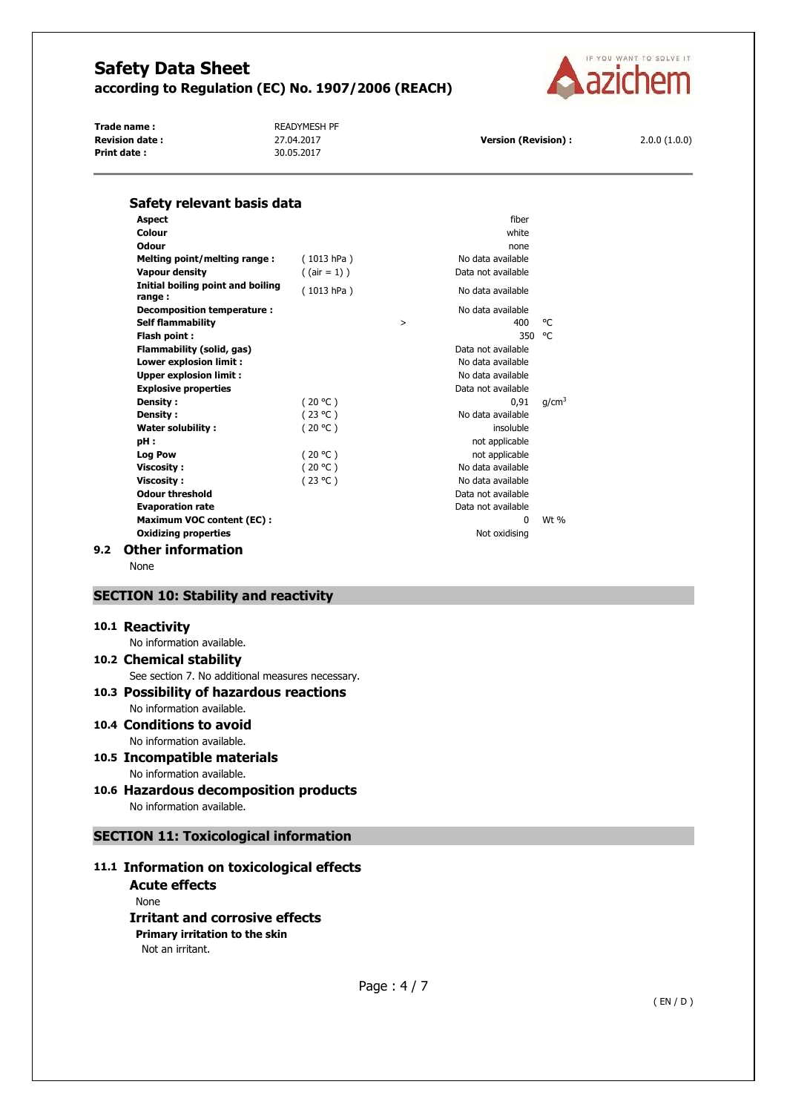

Trade name : **All Property COVER EXAMPLES** READYMESH PF **Revision date :** 27.04.2017 **Version (Revision) :** 2.0.0 (1.0.0)<br>**Print date :** 2.0.0 (1.0.0) 30.05.2017 **Print date :** 



| Safety relevant basis data                              |                 |        |                          |                   |
|---------------------------------------------------------|-----------------|--------|--------------------------|-------------------|
| <b>Aspect</b>                                           |                 |        | fiber                    |                   |
| Colour                                                  |                 |        | white                    |                   |
| Odour                                                   |                 |        | none                     |                   |
| Melting point/melting range:                            | (1013 hPa)      |        | No data available        |                   |
| <b>Vapour density</b>                                   | $($ (air = 1) ) |        | Data not available       |                   |
| Initial boiling point and boiling<br>range:             | (1013 hPa)      |        | No data available        |                   |
| Decomposition temperature :<br><b>Self flammability</b> |                 | $\geq$ | No data available<br>400 | °C                |
| Flash point:                                            |                 |        | 350                      | °€                |
| Flammability (solid, gas)                               |                 |        | Data not available       |                   |
| Lower explosion limit :                                 |                 |        | No data available        |                   |
| <b>Upper explosion limit:</b>                           |                 |        | No data available        |                   |
| <b>Explosive properties</b>                             |                 |        | Data not available       |                   |
| Density:                                                | (20 °C)         |        | 0.91                     | q/cm <sup>3</sup> |
| Density:                                                | (23 °C)         |        | No data available        |                   |
| <b>Water solubility:</b>                                | (20 °C)         |        | insoluble                |                   |
| pH:                                                     |                 |        | not applicable           |                   |
| <b>Log Pow</b>                                          | (20 °C)         |        | not applicable           |                   |
| <b>Viscosity:</b>                                       | (20 °C)         |        | No data available        |                   |
| <b>Viscosity:</b>                                       | (23 °C)         |        | No data available        |                   |
| <b>Odour threshold</b>                                  |                 |        | Data not available       |                   |
| <b>Evaporation rate</b>                                 |                 |        | Data not available       |                   |
| <b>Maximum VOC content (EC):</b>                        |                 |        | $\Omega$                 | $Wt$ %            |
| <b>Oxidizing properties</b>                             |                 |        | Not oxidising            |                   |
| <b>Other information</b><br>9.2                         |                 |        |                          |                   |

None

## **SECTION 10: Stability and reactivity**

#### **10.1 Reactivity**

No information available.

# **10.2 Chemical stability**

See section 7. No additional measures necessary.

#### **10.3 Possibility of hazardous reactions**  No information available.

- **10.4 Conditions to avoid**  No information available.
- **10.5 Incompatible materials**  No information available.
- **10.6 Hazardous decomposition products**  No information available.

# **SECTION 11: Toxicological information**

# **11.1 Information on toxicological effects**

**Acute effects**  None **Irritant and corrosive effects Primary irritation to the skin**  Not an irritant.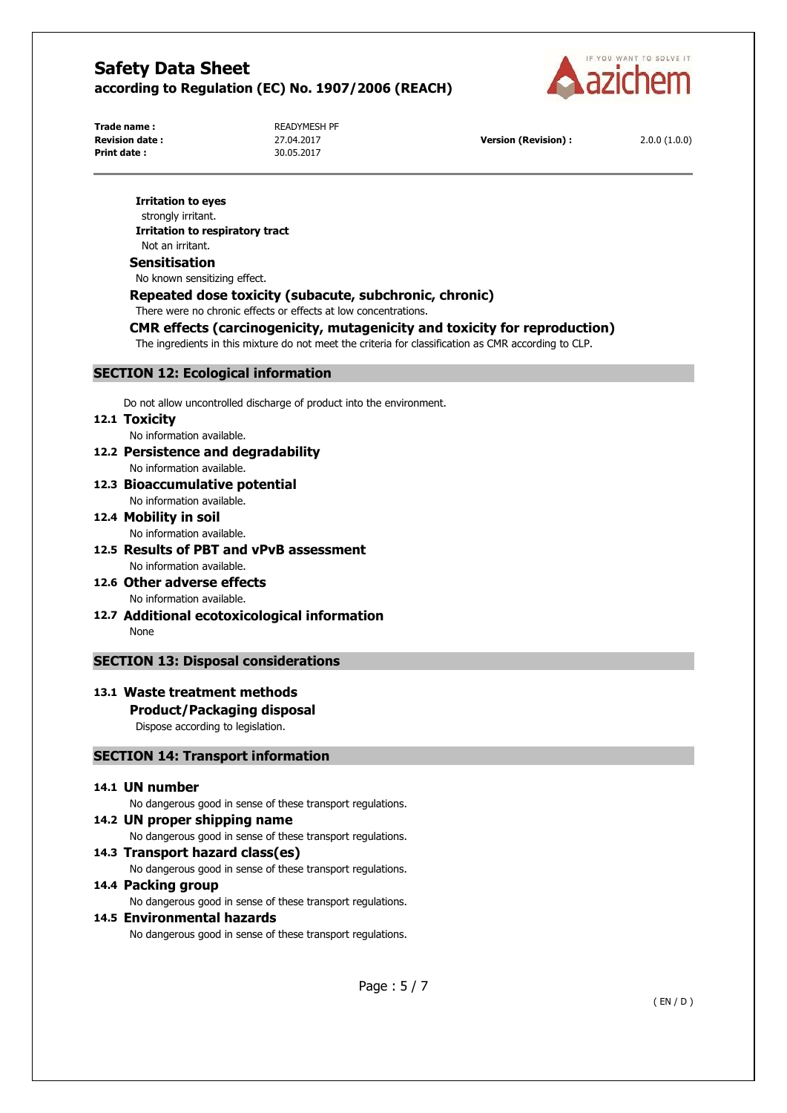

**Print date :** 30.05.2017

**Trade name : READYMESH PF** 

**Revision date :** 27.04.2017 **Version (Revision) :** 2.0.0 (1.0.0)

#### **Irritation to eyes**

strongly irritant. **Irritation to respiratory tract**  Not an irritant.

#### **Sensitisation**

No known sensitizing effect.

# **Repeated dose toxicity (subacute, subchronic, chronic)**

There were no chronic effects or effects at low concentrations.

# **CMR effects (carcinogenicity, mutagenicity and toxicity for reproduction)**

The ingredients in this mixture do not meet the criteria for classification as CMR according to CLP.

## **SECTION 12: Ecological information**

Do not allow uncontrolled discharge of product into the environment.

# **12.1 Toxicity**

No information available.

- **12.2 Persistence and degradability**  No information available.
- **12.3 Bioaccumulative potential**  No information available.
- **12.4 Mobility in soil**  No information available.
- **12.5 Results of PBT and vPvB assessment**  No information available.
- **12.6 Other adverse effects**  No information available.
- **12.7 Additional ecotoxicological information**  None

# **SECTION 13: Disposal considerations**

# **13.1 Waste treatment methods**

# **Product/Packaging disposal**

Dispose according to legislation.

## **SECTION 14: Transport information**

# **14.1 UN number**

No dangerous good in sense of these transport regulations.

# **14.2 UN proper shipping name**

No dangerous good in sense of these transport regulations.

## **14.3 Transport hazard class(es)**

No dangerous good in sense of these transport regulations.

#### **14.4 Packing group**

No dangerous good in sense of these transport regulations.

# **14.5 Environmental hazards**

No dangerous good in sense of these transport regulations.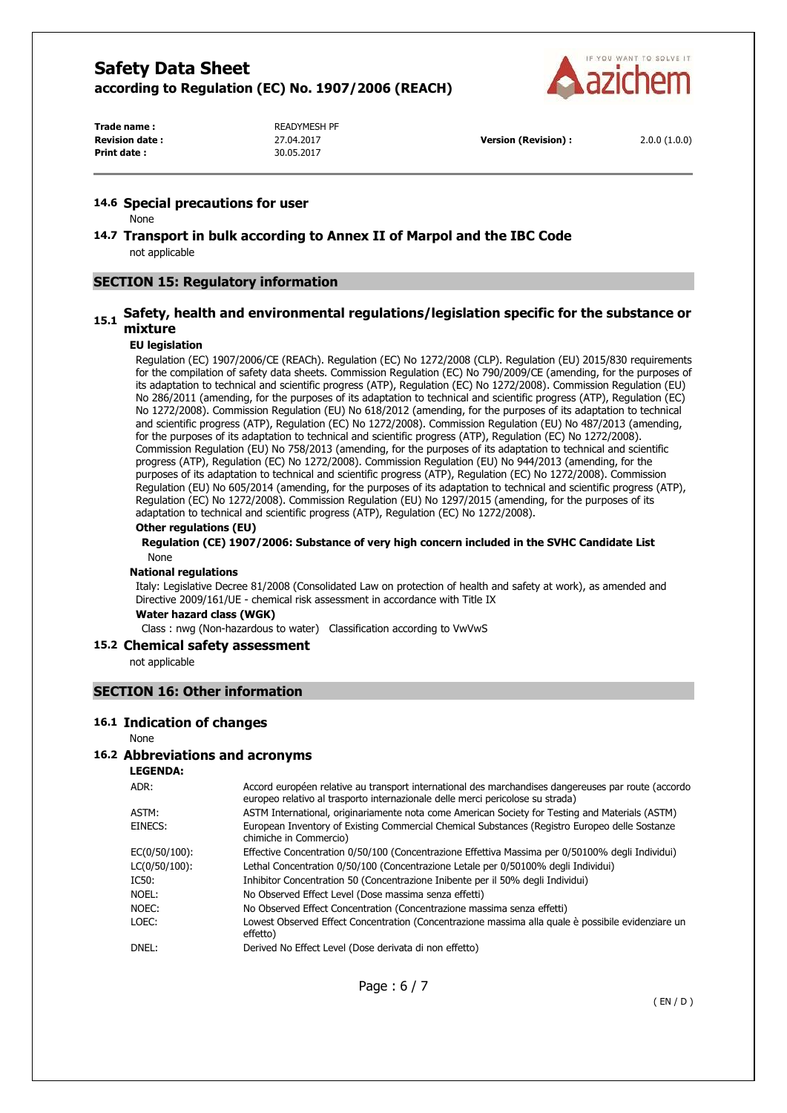

**Print date :** 30.05.2017

Trade name : **READYMESH PF** 

**Revision date :** 27.04.2017 **Version (Revision) :** 2.0.0 (1.0.0)

#### **14.6 Special precautions for user**

None

**14.7 Transport in bulk according to Annex II of Marpol and the IBC Code**  not applicable

# **SECTION 15: Regulatory information**

# **15.1 Safety, health and environmental regulations/legislation specific for the substance or mixture**

#### **EU legislation**

Regulation (EC) 1907/2006/CE (REACh). Regulation (EC) No 1272/2008 (CLP). Regulation (EU) 2015/830 requirements for the compilation of safety data sheets. Commission Regulation (EC) No 790/2009/CE (amending, for the purposes of its adaptation to technical and scientific progress (ATP), Regulation (EC) No 1272/2008). Commission Regulation (EU) No 286/2011 (amending, for the purposes of its adaptation to technical and scientific progress (ATP), Regulation (EC) No 1272/2008). Commission Regulation (EU) No 618/2012 (amending, for the purposes of its adaptation to technical and scientific progress (ATP), Regulation (EC) No 1272/2008). Commission Regulation (EU) No 487/2013 (amending, for the purposes of its adaptation to technical and scientific progress (ATP), Regulation (EC) No 1272/2008). Commission Regulation (EU) No 758/2013 (amending, for the purposes of its adaptation to technical and scientific progress (ATP), Regulation (EC) No 1272/2008). Commission Regulation (EU) No 944/2013 (amending, for the purposes of its adaptation to technical and scientific progress (ATP), Regulation (EC) No 1272/2008). Commission Regulation (EU) No 605/2014 (amending, for the purposes of its adaptation to technical and scientific progress (ATP), Regulation (EC) No 1272/2008). Commission Regulation (EU) No 1297/2015 (amending, for the purposes of its adaptation to technical and scientific progress (ATP), Regulation (EC) No 1272/2008).

#### **Other regulations (EU)**

#### **Regulation (CE) 1907/2006: Substance of very high concern included in the SVHC Candidate List**  None

#### **National regulations**

Italy: Legislative Decree 81/2008 (Consolidated Law on protection of health and safety at work), as amended and Directive 2009/161/UE - chemical risk assessment in accordance with Title IX

#### **Water hazard class (WGK)**

Class : nwg (Non-hazardous to water) Classification according to VwVwS

#### **15.2 Chemical safety assessment**

not applicable

## **SECTION 16: Other information**

#### **16.1 Indication of changes**

None

### **16.2 Abbreviations and acronyms**

**LEGENDA:**

| ADR:          | Accord européen relative au transport international des marchandises dangereuses par route (accordo<br>europeo relativo al trasporto internazionale delle merci pericolose su strada) |
|---------------|---------------------------------------------------------------------------------------------------------------------------------------------------------------------------------------|
| ASTM:         | ASTM International, originariamente nota come American Society for Testing and Materials (ASTM)                                                                                       |
| EINECS:       | European Inventory of Existing Commercial Chemical Substances (Registro Europeo delle Sostanze<br>chimiche in Commercio)                                                              |
| EC(0/50/100): | Effective Concentration 0/50/100 (Concentrazione Effettiva Massima per 0/50100% degli Individui)                                                                                      |
| LC(0/50/100): | Lethal Concentration 0/50/100 (Concentrazione Letale per 0/50100% degli Individui)                                                                                                    |
| IC50:         | Inhibitor Concentration 50 (Concentrazione Inibente per il 50% degli Individui)                                                                                                       |
| Noel:         | No Observed Effect Level (Dose massima senza effetti)                                                                                                                                 |
| NOEC:         | No Observed Effect Concentration (Concentrazione massima senza effetti)                                                                                                               |
| LOEC:         | Lowest Observed Effect Concentration (Concentrazione massima alla quale è possibile evidenziare un<br>effetto)                                                                        |
| DNEL:         | Derived No Effect Level (Dose derivata di non effetto)                                                                                                                                |
|               |                                                                                                                                                                                       |